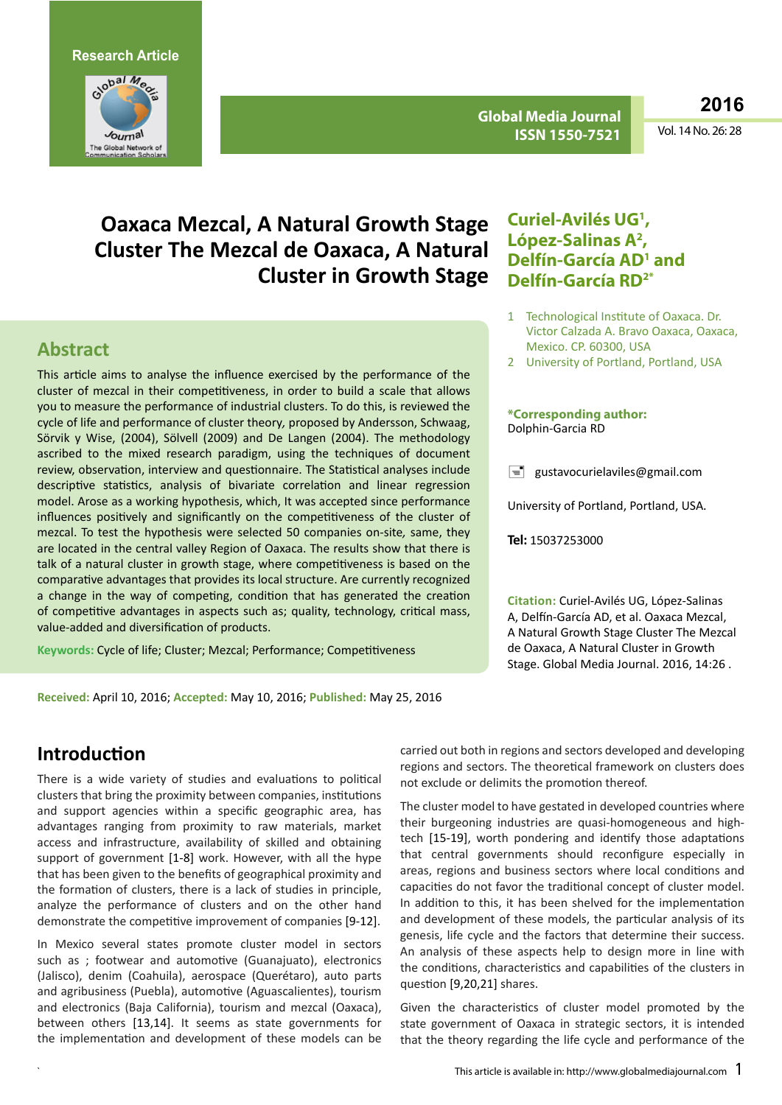

**Global Media Journal ISSN 1550-7521**

**2016**

Vol. 14 No. 26: 28

# **Oaxaca Mezcal, A Natural Growth Stage Cluster The Mezcal de Oaxaca, A Natural Cluster in Growth Stage**

## **Abstract**

This article aims to analyse the influence exercised by the performance of the cluster of mezcal in their competitiveness, in order to build a scale that allows you to measure the performance of industrial clusters. To do this, is reviewed the cycle of life and performance of cluster theory*,* proposed by Andersson, Schwaag, Sörvik y Wise, (2004), Sölvell (2009) and De Langen (2004). The methodology ascribed to the mixed research paradigm, using the techniques of document review, observation, interview and questionnaire. The Statistical analyses include descriptive statistics, analysis of bivariate correlation and linear regression model. Arose as a working hypothesis, which, It was accepted since performance influences positively and significantly on the competitiveness of the cluster of mezcal. To test the hypothesis were selected 50 companies on-site*,* same, they are located in the central valley Region of Oaxaca. The results show that there is talk of a natural cluster in growth stage, where competitiveness is based on the comparative advantages that provides its local structure. Are currently recognized a change in the way of competing, condition that has generated the creation of competitive advantages in aspects such as; quality, technology, critical mass, value-added and diversification of products.

**Keywords:** Cycle of life; Cluster; Mezcal; Performance; Competitiveness

## **Curiel-Avilés UG1 , López-Salinas A2 , Delfín-García AD1 and Delfín-García RD2\***

- 1 Technological Institute of Oaxaca. Dr. Victor Calzada A. Bravo Oaxaca, Oaxaca, Mexico. CP. 60300, USA
- 2 University of Portland, Portland, USA

#### **\*Corresponding author:**  Dolphin-Garcia RD

 $\equiv$  gustavocurielaviles@gmail.com

University of Portland, Portland, USA.

**Tel:** 15037253000

**Citation:** Curiel-Avilés UG, López-Salinas A, Delfín-García AD, et al. Oaxaca Mezcal, A Natural Growth Stage Cluster The Mezcal de Oaxaca, A Natural Cluster in Growth Stage. Global Media Journal. 2016, 14:26 .

**Received:** April 10, 2016; **Accepted:** May 10, 2016; **Published:** May 25, 2016

# **Introduction**

There is a wide variety of studies and evaluations to political clusters that bring the proximity between companies, institutions and support agencies within a specific geographic area, has advantages ranging from proximity to raw materials, market access and infrastructure, availability of skilled and obtaining support of government [1-8] work. However, with all the hype that has been given to the benefits of geographical proximity and the formation of clusters, there is a lack of studies in principle, analyze the performance of clusters and on the other hand demonstrate the competitive improvement of companies [9-12].

In Mexico several states promote cluster model in sectors such as ; footwear and automotive (Guanajuato), electronics (Jalisco), denim (Coahuila), aerospace (Querétaro), auto parts and agribusiness (Puebla), automotive (Aguascalientes), tourism and electronics (Baja California), tourism and mezcal (Oaxaca), between others [13,14]. It seems as state governments for the implementation and development of these models can be

carried out both in regions and sectors developed and developing regions and sectors. The theoretical framework on clusters does not exclude or delimits the promotion thereof.

The cluster model to have gestated in developed countries where their burgeoning industries are quasi-homogeneous and hightech [15-19], worth pondering and identify those adaptations that central governments should reconfigure especially in areas, regions and business sectors where local conditions and capacities do not favor the traditional concept of cluster model. In addition to this, it has been shelved for the implementation and development of these models, the particular analysis of its genesis, life cycle and the factors that determine their success. An analysis of these aspects help to design more in line with the conditions, characteristics and capabilities of the clusters in question [9,20,21] shares.

Given the characteristics of cluster model promoted by the state government of Oaxaca in strategic sectors, it is intended that the theory regarding the life cycle and performance of the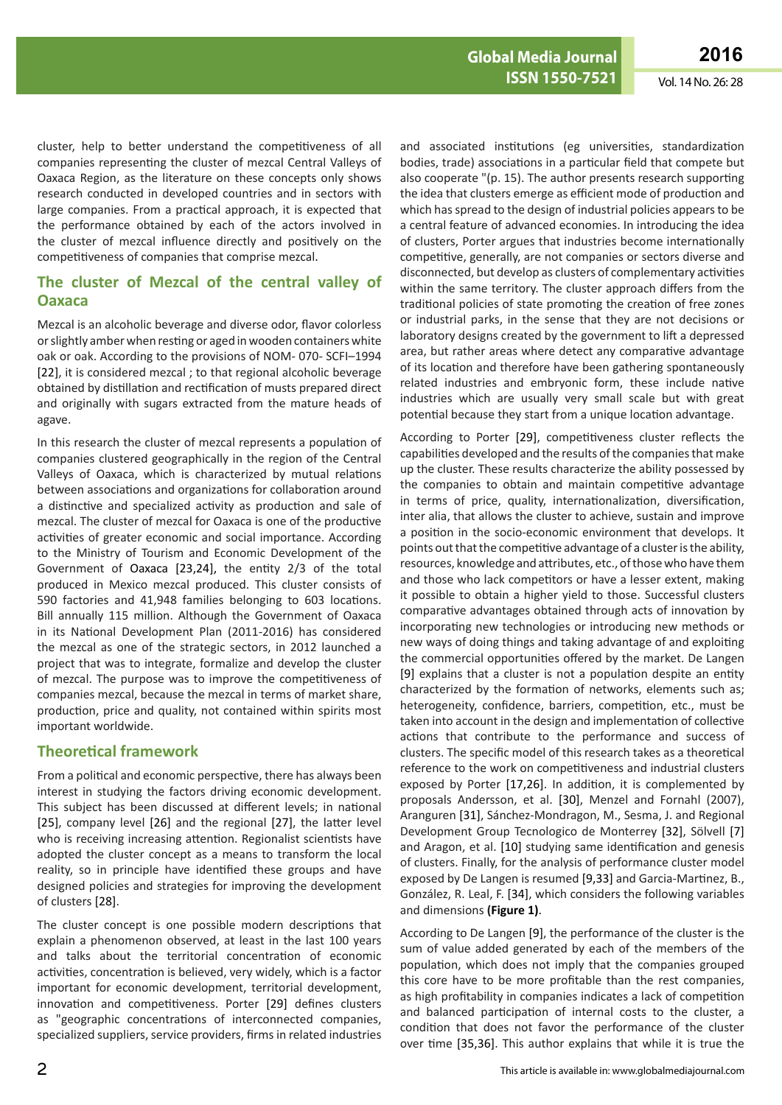**ISSN 1550-7521** Vol. 14 No. 26: 28

cluster, help to better understand the competitiveness of all companies representing the cluster of mezcal Central Valleys of Oaxaca Region, as the literature on these concepts only shows research conducted in developed countries and in sectors with large companies. From a practical approach, it is expected that the performance obtained by each of the actors involved in the cluster of mezcal influence directly and positively on the competitiveness of companies that comprise mezcal.

### **The cluster of Mezcal of the central valley of Oaxaca**

Mezcal is an alcoholic beverage and diverse odor, flavor colorless orslightly amberwhen resting or aged inwooden containerswhite oak or oak. According to the provisions of NOM- 070- SCFI–1994 [22], it is considered mezcal ; to that regional alcoholic beverage obtained by distillation and rectification of musts prepared direct and originally with sugars extracted from the mature heads of agave.

In this research the cluster of mezcal represents a population of companies clustered geographically in the region of the Central Valleys of Oaxaca, which is characterized by mutual relations between associations and organizations for collaboration around a distinctive and specialized activity as production and sale of mezcal. The cluster of mezcal for Oaxaca is one of the productive activities of greater economic and social importance. According to the Ministry of Tourism and Economic Development of the Government of Oaxaca [23,24], the entity 2/3 of the total produced in Mexico mezcal produced. This cluster consists of 590 factories and 41,948 families belonging to 603 locations. Bill annually 115 million. Although the Government of Oaxaca in its National Development Plan (2011-2016) has considered the mezcal as one of the strategic sectors, in 2012 launched a project that was to integrate, formalize and develop the cluster of mezcal. The purpose was to improve the competitiveness of companies mezcal, because the mezcal in terms of market share, production, price and quality, not contained within spirits most important worldwide.

### **Theoretical framework**

From a political and economic perspective, there has always been interest in studying the factors driving economic development. This subject has been discussed at different levels; in national [25], company level [26] and the regional [27], the latter level who is receiving increasing attention. Regionalist scientists have adopted the cluster concept as a means to transform the local reality, so in principle have identified these groups and have designed policies and strategies for improving the development of clusters [28].

The cluster concept is one possible modern descriptions that explain a phenomenon observed, at least in the last 100 years and talks about the territorial concentration of economic activities, concentration is believed, very widely, which is a factor important for economic development, territorial development, innovation and competitiveness. Porter [29] defines clusters as "geographic concentrations of interconnected companies, specialized suppliers, service providers, firms in related industries

and associated institutions (eg universities, standardization bodies, trade) associations in a particular field that compete but also cooperate "(p. 15). The author presents research supporting the idea that clusters emerge as efficient mode of production and which has spread to the design of industrial policies appears to be a central feature of advanced economies. In introducing the idea of clusters, Porter argues that industries become internationally competitive, generally, are not companies or sectors diverse and disconnected, but develop as clusters of complementary activities within the same territory. The cluster approach differs from the traditional policies of state promoting the creation of free zones or industrial parks, in the sense that they are not decisions or laboratory designs created by the government to lift a depressed area, but rather areas where detect any comparative advantage of its location and therefore have been gathering spontaneously related industries and embryonic form, these include native industries which are usually very small scale but with great potential because they start from a unique location advantage.

According to Porter [29], competitiveness cluster reflects the capabilities developed and the results of the companies that make up the cluster. These results characterize the ability possessed by the companies to obtain and maintain competitive advantage in terms of price, quality, internationalization, diversification, inter alia, that allows the cluster to achieve, sustain and improve a position in the socio-economic environment that develops. It points out that the competitive advantage of a cluster is the ability, resources, knowledge and attributes, etc., of those who have them and those who lack competitors or have a lesser extent, making it possible to obtain a higher yield to those. Successful clusters comparative advantages obtained through acts of innovation by incorporating new technologies or introducing new methods or new ways of doing things and taking advantage of and exploiting the commercial opportunities offered by the market. De Langen [9] explains that a cluster is not a population despite an entity characterized by the formation of networks, elements such as; heterogeneity, confidence, barriers, competition, etc., must be taken into account in the design and implementation of collective actions that contribute to the performance and success of clusters. The specific model of this research takes as a theoretical reference to the work on competitiveness and industrial clusters exposed by Porter [17,26]. In addition, it is complemented by proposals Andersson, et al. [30], Menzel and Fornahl (2007), Aranguren [31], Sánchez-Mondragon, M., Sesma, J. and Regional Development Group Tecnologico de Monterrey [32], Sölvell [7] and Aragon, et al. [10] studying same identification and genesis of clusters. Finally, for the analysis of performance cluster model exposed by De Langen is resumed [9,33] and Garcia-Martinez, B., González, R. Leal, F. [34], which considers the following variables and dimensions **(Figure 1)**.

According to De Langen [9], the performance of the cluster is the sum of value added generated by each of the members of the population, which does not imply that the companies grouped this core have to be more profitable than the rest companies, as high profitability in companies indicates a lack of competition and balanced participation of internal costs to the cluster, a condition that does not favor the performance of the cluster over time [35,36]. This author explains that while it is true the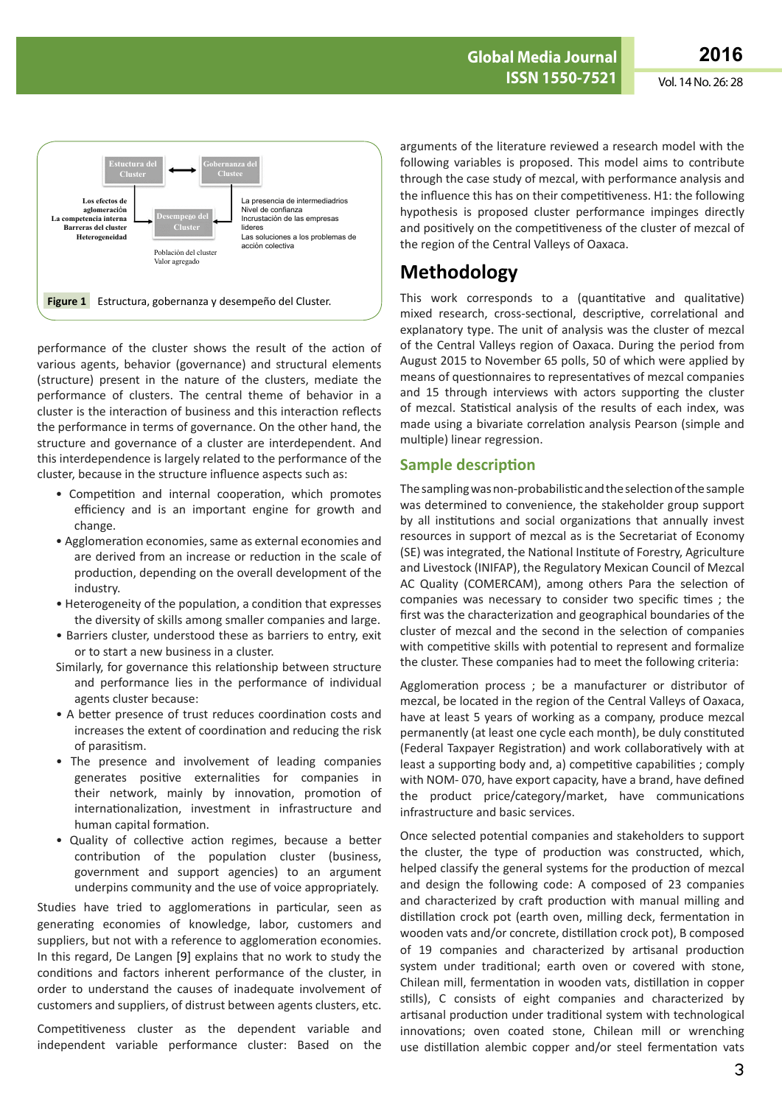

performance of the cluster shows the result of the action of various agents, behavior (governance) and structural elements (structure) present in the nature of the clusters, mediate the performance of clusters. The central theme of behavior in a cluster is the interaction of business and this interaction reflects the performance in terms of governance. On the other hand, the structure and governance of a cluster are interdependent. And this interdependence is largely related to the performance of the cluster, because in the structure influence aspects such as:

- Competition and internal cooperation, which promotes efficiency and is an important engine for growth and change.
- Agglomeration economies, same as external economies and are derived from an increase or reduction in the scale of production, depending on the overall development of the industry.
- Heterogeneity of the population, a condition that expresses the diversity of skills among smaller companies and large.
- Barriers cluster, understood these as barriers to entry, exit or to start a new business in a cluster.
- Similarly, for governance this relationship between structure and performance lies in the performance of individual agents cluster because:
- A better presence of trust reduces coordination costs and increases the extent of coordination and reducing the risk of parasitism.
- The presence and involvement of leading companies generates positive externalities for companies in their network, mainly by innovation, promotion of internationalization, investment in infrastructure and human capital formation.
- Quality of collective action regimes, because a better contribution of the population cluster (business, government and support agencies) to an argument underpins community and the use of voice appropriately.

Studies have tried to agglomerations in particular, seen as generating economies of knowledge, labor, customers and suppliers, but not with a reference to agglomeration economies. In this regard, De Langen [9] explains that no work to study the conditions and factors inherent performance of the cluster, in order to understand the causes of inadequate involvement of customers and suppliers, of distrust between agents clusters, etc.

Competitiveness cluster as the dependent variable and independent variable performance cluster: Based on the

arguments of the literature reviewed a research model with the following variables is proposed. This model aims to contribute through the case study of mezcal, with performance analysis and the influence this has on their competitiveness. H1: the following hypothesis is proposed cluster performance impinges directly and positively on the competitiveness of the cluster of mezcal of the region of the Central Valleys of Oaxaca.

# **Methodology**

This work corresponds to a (quantitative and qualitative) mixed research, cross-sectional, descriptive, correlational and explanatory type. The unit of analysis was the cluster of mezcal of the Central Valleys region of Oaxaca. During the period from August 2015 to November 65 polls, 50 of which were applied by means of questionnaires to representatives of mezcal companies and 15 through interviews with actors supporting the cluster of mezcal. Statistical analysis of the results of each index, was made using a bivariate correlation analysis Pearson (simple and multiple) linear regression.

#### **Sample description**

The sampling was non-probabilistic and the selection of the sample was determined to convenience, the stakeholder group support by all institutions and social organizations that annually invest resources in support of mezcal as is the Secretariat of Economy (SE) was integrated, the National Institute of Forestry, Agriculture and Livestock (INIFAP), the Regulatory Mexican Council of Mezcal AC Quality (COMERCAM), among others Para the selection of companies was necessary to consider two specific times ; the first was the characterization and geographical boundaries of the cluster of mezcal and the second in the selection of companies with competitive skills with potential to represent and formalize the cluster. These companies had to meet the following criteria:

Agglomeration process ; be a manufacturer or distributor of mezcal, be located in the region of the Central Valleys of Oaxaca, have at least 5 years of working as a company, produce mezcal permanently (at least one cycle each month), be duly constituted (Federal Taxpayer Registration) and work collaboratively with at least a supporting body and, a) competitive capabilities ; comply with NOM- 070, have export capacity, have a brand, have defined the product price/category/market, have communications infrastructure and basic services.

Once selected potential companies and stakeholders to support the cluster, the type of production was constructed, which, helped classify the general systems for the production of mezcal and design the following code: A composed of 23 companies and characterized by craft production with manual milling and distillation crock pot (earth oven, milling deck, fermentation in wooden vats and/or concrete, distillation crock pot), B composed of 19 companies and characterized by artisanal production system under traditional; earth oven or covered with stone, Chilean mill, fermentation in wooden vats, distillation in copper stills), C consists of eight companies and characterized by artisanal production under traditional system with technological innovations; oven coated stone, Chilean mill or wrenching use distillation alembic copper and/or steel fermentation vats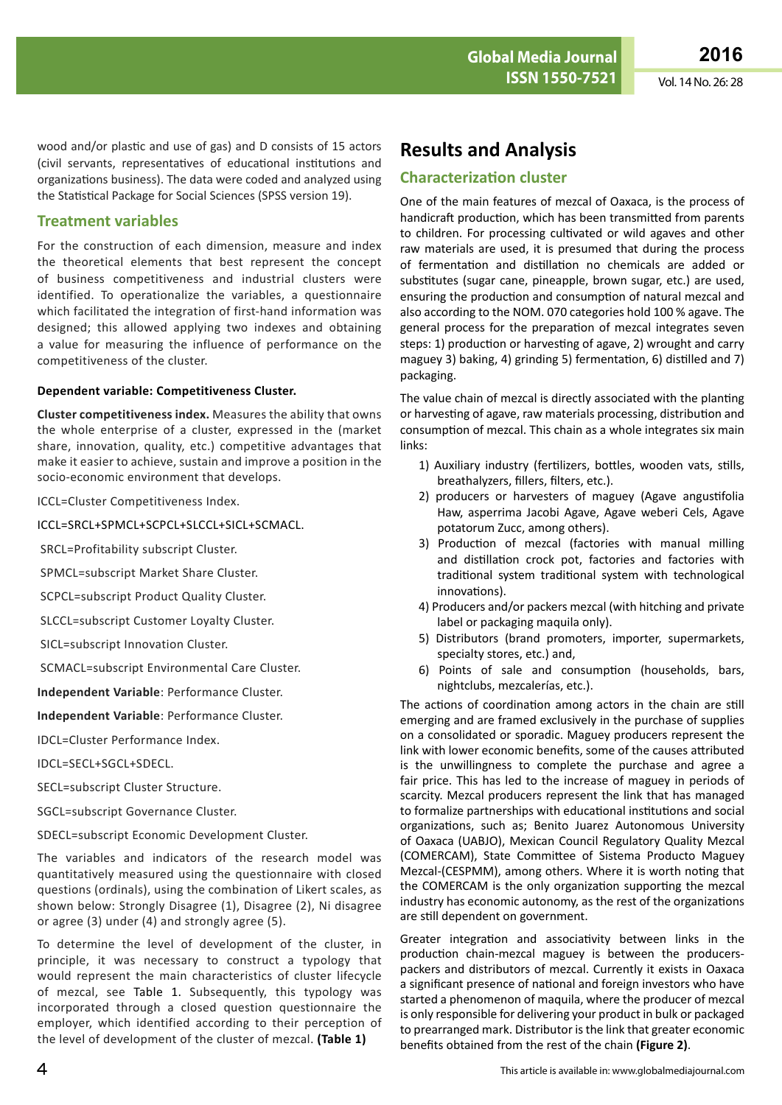wood and/or plastic and use of gas) and D consists of 15 actors (civil servants, representatives of educational institutions and organizations business). The data were coded and analyzed using the Statistical Package for Social Sciences (SPSS version 19).

#### **Treatment variables**

For the construction of each dimension, measure and index the theoretical elements that best represent the concept of business competitiveness and industrial clusters were identified. To operationalize the variables, a questionnaire which facilitated the integration of first-hand information was designed; this allowed applying two indexes and obtaining a value for measuring the influence of performance on the competitiveness of the cluster.

#### **Dependent variable: Competitiveness Cluster.**

**Cluster competitiveness index.** Measures the ability that owns the whole enterprise of a cluster, expressed in the (market share, innovation, quality, etc.) competitive advantages that make it easier to achieve, sustain and improve a position in the socio-economic environment that develops.

ICCL=Cluster Competitiveness Index.

ICCL=SRCL+SPMCL+SCPCL+SLCCL+SICL+SCMACL.

SRCL=Profitability subscript Cluster.

SPMCL=subscript Market Share Cluster.

SCPCL=subscript Product Quality Cluster.

SLCCL=subscript Customer Loyalty Cluster.

SICL=subscript Innovation Cluster.

SCMACL=subscript Environmental Care Cluster.

**Independent Variable**: Performance Cluster.

**Independent Variable**: Performance Cluster.

IDCL=Cluster Performance Index.

IDCL=SECL+SGCL+SDECL.

SECL=subscript Cluster Structure.

SGCL=subscript Governance Cluster.

SDECL=subscript Economic Development Cluster.

The variables and indicators of the research model was quantitatively measured using the questionnaire with closed questions (ordinals), using the combination of Likert scales, as shown below: Strongly Disagree (1), Disagree (2), Ni disagree or agree (3) under (4) and strongly agree (5).

To determine the level of development of the cluster, in principle, it was necessary to construct a typology that would represent the main characteristics of cluster lifecycle of mezcal, see Table 1. Subsequently, this typology was incorporated through a closed question questionnaire the employer, which identified according to their perception of the level of development of the cluster of mezcal. **(Table 1)**

# **Results and Analysis**

#### **Characterization cluster**

One of the main features of mezcal of Oaxaca, is the process of handicraft production, which has been transmitted from parents to children. For processing cultivated or wild agaves and other raw materials are used, it is presumed that during the process of fermentation and distillation no chemicals are added or substitutes (sugar cane, pineapple, brown sugar, etc.) are used, ensuring the production and consumption of natural mezcal and also according to the NOM. 070 categories hold 100 % agave. The general process for the preparation of mezcal integrates seven steps: 1) production or harvesting of agave, 2) wrought and carry maguey 3) baking, 4) grinding 5) fermentation, 6) distilled and 7) packaging.

The value chain of mezcal is directly associated with the planting or harvesting of agave, raw materials processing, distribution and consumption of mezcal. This chain as a whole integrates six main links:

- 1) Auxiliary industry (fertilizers, bottles, wooden vats, stills, breathalyzers, fillers, filters, etc.).
- 2) producers or harvesters of maguey (Agave angustifolia Haw, asperrima Jacobi Agave, Agave weberi Cels, Agave potatorum Zucc, among others).
- 3) Production of mezcal (factories with manual milling and distillation crock pot, factories and factories with traditional system traditional system with technological innovations).
- 4) Producers and/or packers mezcal (with hitching and private label or packaging maquila only).
- 5) Distributors (brand promoters, importer, supermarkets, specialty stores, etc.) and,
- 6) Points of sale and consumption (households, bars, nightclubs, mezcalerías, etc.).

The actions of coordination among actors in the chain are still emerging and are framed exclusively in the purchase of supplies on a consolidated or sporadic. Maguey producers represent the link with lower economic benefits, some of the causes attributed is the unwillingness to complete the purchase and agree a fair price. This has led to the increase of maguey in periods of scarcity. Mezcal producers represent the link that has managed to formalize partnerships with educational institutions and social organizations, such as; Benito Juarez Autonomous University of Oaxaca (UABJO), Mexican Council Regulatory Quality Mezcal (COMERCAM), State Committee of Sistema Producto Maguey Mezcal-(CESPMM), among others. Where it is worth noting that the COMERCAM is the only organization supporting the mezcal industry has economic autonomy, as the rest of the organizations are still dependent on government.

Greater integration and associativity between links in the production chain-mezcal maguey is between the producerspackers and distributors of mezcal. Currently it exists in Oaxaca a significant presence of national and foreign investors who have started a phenomenon of maquila, where the producer of mezcal is only responsible for delivering your product in bulk or packaged to prearranged mark. Distributor isthe link that greater economic benefits obtained from the rest of the chain **(Figure 2)**.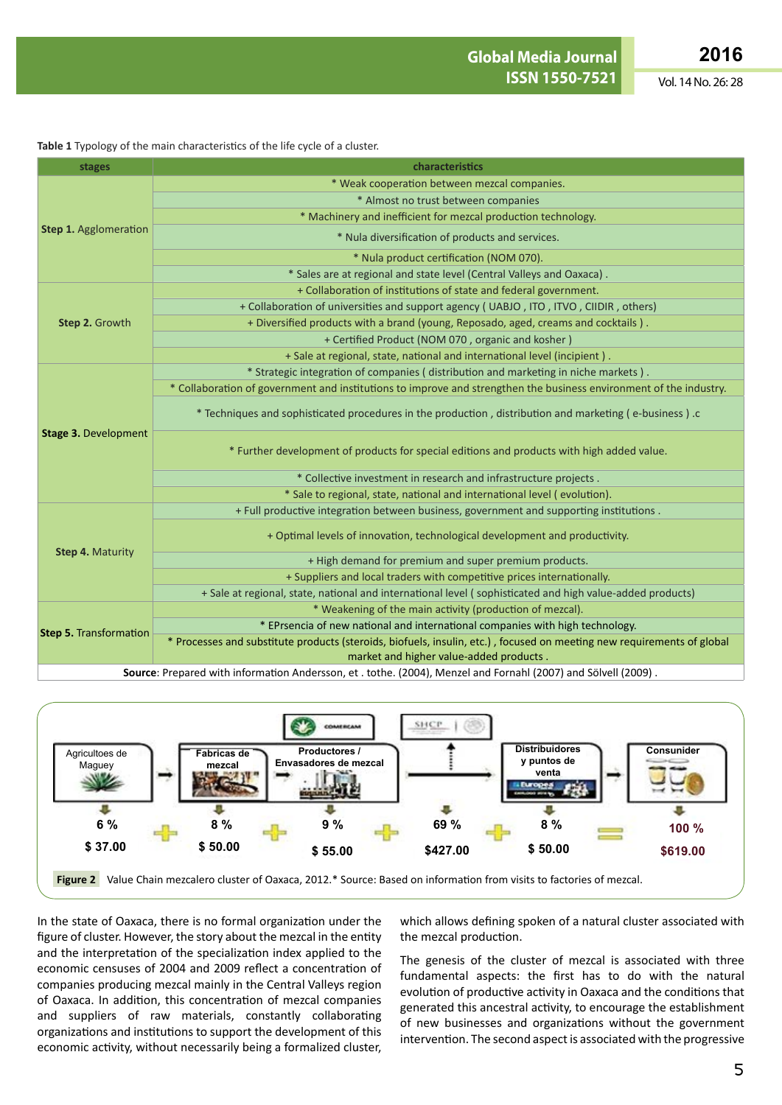**Table 1** Typology of the main characteristics of the life cycle of a cluster.

| stages                                                                                                        | characteristics                                                                                                                                                   |  |  |  |  |
|---------------------------------------------------------------------------------------------------------------|-------------------------------------------------------------------------------------------------------------------------------------------------------------------|--|--|--|--|
| Step 1. Agglomeration                                                                                         | * Weak cooperation between mezcal companies.                                                                                                                      |  |  |  |  |
|                                                                                                               | * Almost no trust between companies                                                                                                                               |  |  |  |  |
|                                                                                                               | * Machinery and inefficient for mezcal production technology.                                                                                                     |  |  |  |  |
|                                                                                                               | * Nula diversification of products and services.                                                                                                                  |  |  |  |  |
|                                                                                                               | * Nula product certification (NOM 070).                                                                                                                           |  |  |  |  |
|                                                                                                               | * Sales are at regional and state level (Central Valleys and Oaxaca).                                                                                             |  |  |  |  |
|                                                                                                               | + Collaboration of institutions of state and federal government.                                                                                                  |  |  |  |  |
|                                                                                                               | + Collaboration of universities and support agency (UABJO, ITO, ITVO, CIIDIR, others)                                                                             |  |  |  |  |
| Step 2. Growth                                                                                                | + Diversified products with a brand (young, Reposado, aged, creams and cocktails).                                                                                |  |  |  |  |
|                                                                                                               | + Certified Product (NOM 070, organic and kosher)                                                                                                                 |  |  |  |  |
|                                                                                                               | + Sale at regional, state, national and international level (incipient).                                                                                          |  |  |  |  |
|                                                                                                               | * Strategic integration of companies (distribution and marketing in niche markets).                                                                               |  |  |  |  |
|                                                                                                               | * Collaboration of government and institutions to improve and strengthen the business environment of the industry.                                                |  |  |  |  |
| <b>Stage 3. Development</b>                                                                                   | * Techniques and sophisticated procedures in the production, distribution and marketing (e-business).c                                                            |  |  |  |  |
|                                                                                                               | * Further development of products for special editions and products with high added value.                                                                        |  |  |  |  |
|                                                                                                               | * Collective investment in research and infrastructure projects.                                                                                                  |  |  |  |  |
|                                                                                                               | * Sale to regional, state, national and international level (evolution).                                                                                          |  |  |  |  |
|                                                                                                               | + Full productive integration between business, government and supporting institutions.                                                                           |  |  |  |  |
| <b>Step 4. Maturity</b>                                                                                       | + Optimal levels of innovation, technological development and productivity.                                                                                       |  |  |  |  |
|                                                                                                               | + High demand for premium and super premium products.                                                                                                             |  |  |  |  |
|                                                                                                               | + Suppliers and local traders with competitive prices internationally.                                                                                            |  |  |  |  |
|                                                                                                               | + Sale at regional, state, national and international level (sophisticated and high value-added products)                                                         |  |  |  |  |
| <b>Step 5. Transformation</b>                                                                                 | * Weakening of the main activity (production of mezcal).                                                                                                          |  |  |  |  |
|                                                                                                               | * EPrsencia of new national and international companies with high technology.                                                                                     |  |  |  |  |
|                                                                                                               | * Processes and substitute products (steroids, biofuels, insulin, etc.), focused on meeting new requirements of global<br>market and higher value-added products. |  |  |  |  |
| Source: Prepared with information Andersson, et. tothe. (2004), Menzel and Fornahl (2007) and Sölvell (2009). |                                                                                                                                                                   |  |  |  |  |



In the state of Oaxaca, there is no formal organization under the figure of cluster. However, the story about the mezcal in the entity and the interpretation of the specialization index applied to the economic censuses of 2004 and 2009 reflect a concentration of companies producing mezcal mainly in the Central Valleys region of Oaxaca. In addition, this concentration of mezcal companies and suppliers of raw materials, constantly collaborating organizations and institutions to support the development of this economic activity, without necessarily being a formalized cluster,

which allows defining spoken of a natural cluster associated with the mezcal production.

The genesis of the cluster of mezcal is associated with three fundamental aspects: the first has to do with the natural evolution of productive activity in Oaxaca and the conditions that generated this ancestral activity, to encourage the establishment of new businesses and organizations without the government intervention. The second aspect is associated with the progressive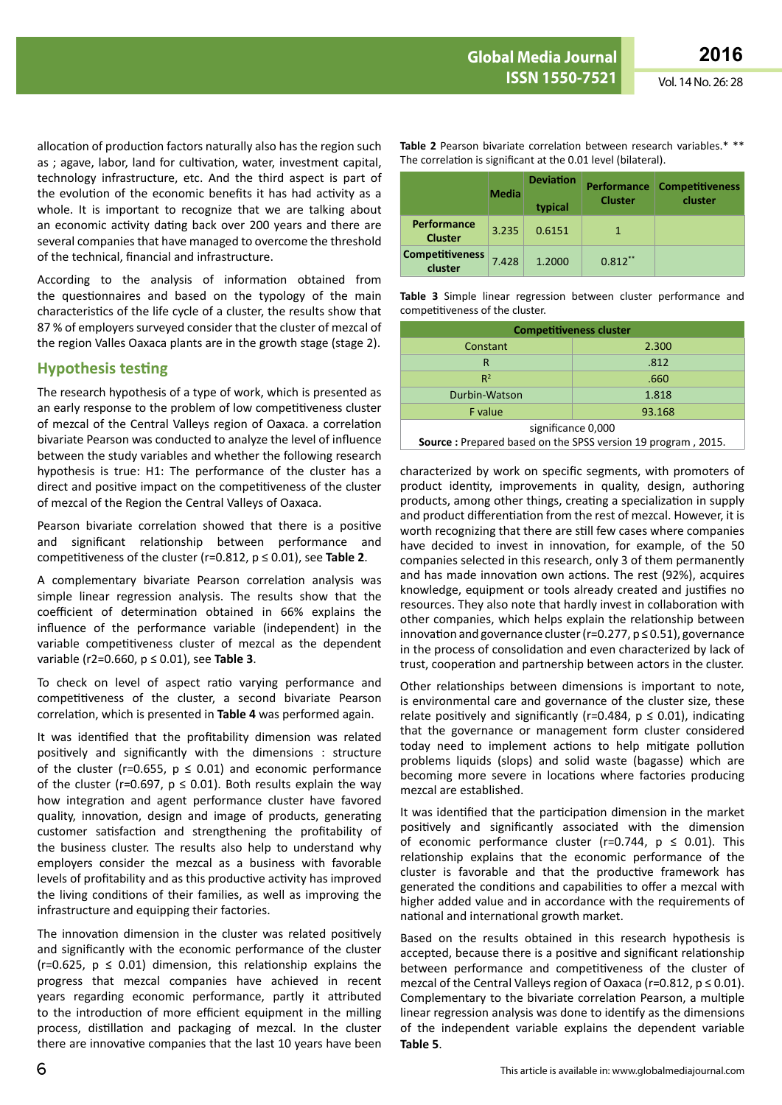The correlation is significant at the 0.01 level (bilateral).

**Table 2** Pearson bivariate correlation between research variables.\* \*\*

allocation of production factors naturally also has the region such as ; agave, labor, land for cultivation, water, investment capital, technology infrastructure, etc. And the third aspect is part of the evolution of the economic benefits it has had activity as a whole. It is important to recognize that we are talking about an economic activity dating back over 200 years and there are several companies that have managed to overcome the threshold of the technical, financial and infrastructure.

According to the analysis of information obtained from the questionnaires and based on the typology of the main characteristics of the life cycle of a cluster, the results show that 87 % of employers surveyed consider that the cluster of mezcal of the region Valles Oaxaca plants are in the growth stage (stage 2).

### **Hypothesis testing**

The research hypothesis of a type of work, which is presented as an early response to the problem of low competitiveness cluster of mezcal of the Central Valleys region of Oaxaca. a correlation bivariate Pearson was conducted to analyze the level of influence between the study variables and whether the following research hypothesis is true: H1: The performance of the cluster has a direct and positive impact on the competitiveness of the cluster of mezcal of the Region the Central Valleys of Oaxaca.

Pearson bivariate correlation showed that there is a positive and significant relationship between performance and competitiveness of the cluster (r=0.812, p ≤ 0.01), see **Table 2**.

A complementary bivariate Pearson correlation analysis was simple linear regression analysis. The results show that the coefficient of determination obtained in 66% explains the influence of the performance variable (independent) in the variable competitiveness cluster of mezcal as the dependent variable (r2=0.660, p ≤ 0.01), see **Table 3**.

To check on level of aspect ratio varying performance and competitiveness of the cluster, a second bivariate Pearson correlation, which is presented in **Table 4** was performed again.

It was identified that the profitability dimension was related positively and significantly with the dimensions : structure of the cluster (r=0.655,  $p \le 0.01$ ) and economic performance of the cluster (r=0.697,  $p \le 0.01$ ). Both results explain the way how integration and agent performance cluster have favored quality, innovation, design and image of products, generating customer satisfaction and strengthening the profitability of the business cluster. The results also help to understand why employers consider the mezcal as a business with favorable levels of profitability and as this productive activity has improved the living conditions of their families, as well as improving the infrastructure and equipping their factories.

The innovation dimension in the cluster was related positively and significantly with the economic performance of the cluster ( $r=0.625$ ,  $p \le 0.01$ ) dimension, this relationship explains the progress that mezcal companies have achieved in recent years regarding economic performance, partly it attributed to the introduction of more efficient equipment in the milling process, distillation and packaging of mezcal. In the cluster there are innovative companies that the last 10 years have been

|                                      | <b>Media</b> | <b>Deviation</b><br>typical | <b>Performance</b><br><b>Cluster</b> | <b>Competitiveness</b><br>cluster |  |  |
|--------------------------------------|--------------|-----------------------------|--------------------------------------|-----------------------------------|--|--|
| <b>Performance</b><br><b>Cluster</b> | 3.235        | 0.6151                      |                                      |                                   |  |  |
| Competitiveness<br>cluster           | 7.428        | 1.2000                      | $0.812**$                            |                                   |  |  |

**Table 3** Simple linear regression between cluster performance and competitiveness of the cluster.

| <b>Competitiveness cluster</b>                                      |        |  |  |  |
|---------------------------------------------------------------------|--------|--|--|--|
| Constant                                                            | 2.300  |  |  |  |
| R                                                                   | .812   |  |  |  |
| $R^2$                                                               | .660   |  |  |  |
| Durbin-Watson                                                       | 1.818  |  |  |  |
| <b>F</b> value                                                      | 93.168 |  |  |  |
| significance 0,000                                                  |        |  |  |  |
| <b>Source:</b> Prepared based on the SPSS version 19 program, 2015. |        |  |  |  |

characterized by work on specific segments, with promoters of product identity, improvements in quality, design, authoring products, among other things, creating a specialization in supply and product differentiation from the rest of mezcal. However, it is worth recognizing that there are still few cases where companies have decided to invest in innovation, for example, of the 50 companies selected in this research, only 3 of them permanently and has made innovation own actions. The rest (92%), acquires knowledge, equipment or tools already created and justifies no resources. They also note that hardly invest in collaboration with other companies, which helps explain the relationship between innovation and governance cluster (r=0.277,  $p \le 0.51$ ), governance in the process of consolidation and even characterized by lack of trust, cooperation and partnership between actors in the cluster.

Other relationships between dimensions is important to note, is environmental care and governance of the cluster size, these relate positively and significantly (r=0.484,  $p \le 0.01$ ), indicating that the governance or management form cluster considered today need to implement actions to help mitigate pollution problems liquids (slops) and solid waste (bagasse) which are becoming more severe in locations where factories producing mezcal are established.

It was identified that the participation dimension in the market positively and significantly associated with the dimension of economic performance cluster (r=0.744,  $p \le 0.01$ ). This relationship explains that the economic performance of the cluster is favorable and that the productive framework has generated the conditions and capabilities to offer a mezcal with higher added value and in accordance with the requirements of national and international growth market.

Based on the results obtained in this research hypothesis is accepted, because there is a positive and significant relationship between performance and competitiveness of the cluster of mezcal of the Central Valleys region of Oaxaca ( $r=0.812$ ,  $p \le 0.01$ ). Complementary to the bivariate correlation Pearson, a multiple linear regression analysis was done to identify as the dimensions of the independent variable explains the dependent variable **Table 5**.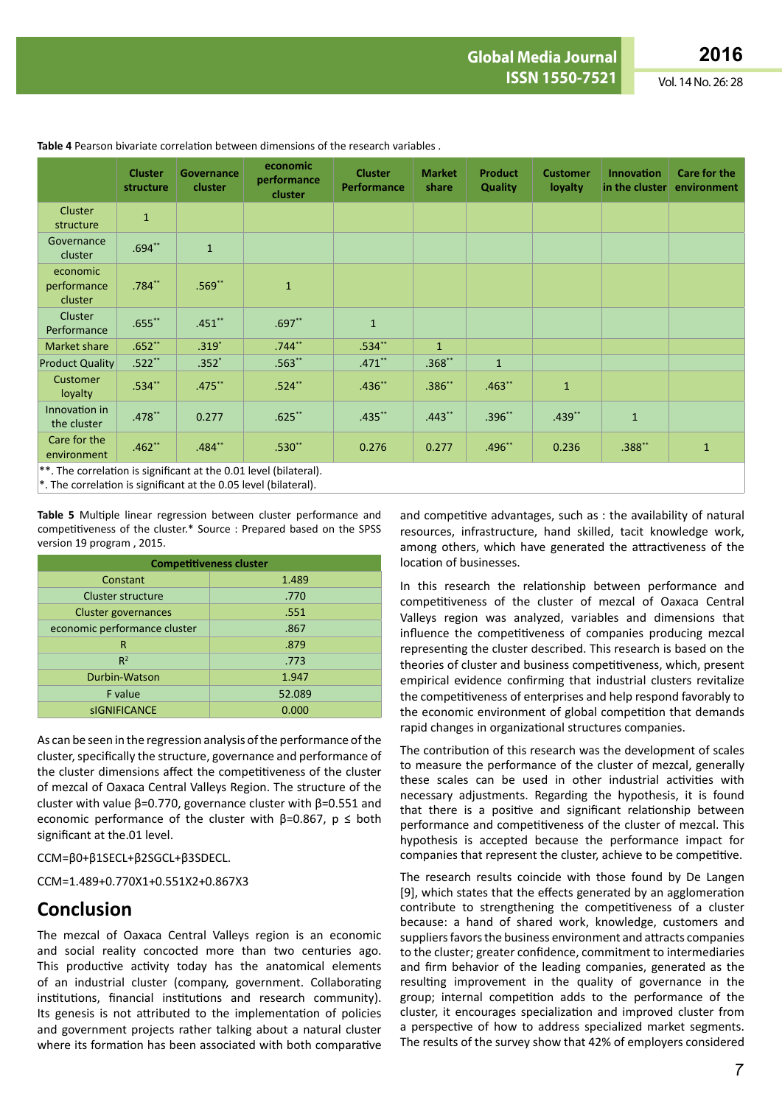|                                                                   | <b>Cluster</b><br>structure | Governance<br>cluster | economic<br>performance<br>cluster | <b>Cluster</b><br>Performance | <b>Market</b><br>share | <b>Product</b><br><b>Quality</b> | <b>Customer</b><br>loyalty | <b>Innovation</b><br>in the cluster | <b>Care for the</b><br>environment |
|-------------------------------------------------------------------|-----------------------------|-----------------------|------------------------------------|-------------------------------|------------------------|----------------------------------|----------------------------|-------------------------------------|------------------------------------|
| <b>Cluster</b><br>structure                                       | $\mathbf{1}$                |                       |                                    |                               |                        |                                  |                            |                                     |                                    |
| Governance<br>cluster                                             | $.694**$                    | $\mathbf{1}$          |                                    |                               |                        |                                  |                            |                                     |                                    |
| economic<br>performance<br>cluster                                | .784**                      | $.569**$              | $\mathbf{1}$                       |                               |                        |                                  |                            |                                     |                                    |
| Cluster<br>Performance                                            | $.655***$                   | $.451***$             | $.697**$                           | $\mathbf{1}$                  |                        |                                  |                            |                                     |                                    |
| Market share                                                      | $.652**$                    | $.319*$               | $.744**$                           | $.534**$                      | $\mathbf{1}$           |                                  |                            |                                     |                                    |
| <b>Product Quality</b>                                            | $.522**$                    | $.352*$               | $.563**$                           | $.471***$                     | $.368**$               | $\mathbf{1}$                     |                            |                                     |                                    |
| Customer<br>loyalty                                               | $.534**$                    | $.475***$             | $.524**$                           | $.436**$                      | $.386**$               | $.463**$                         | $\mathbf{1}$               |                                     |                                    |
| Innovation in<br>the cluster                                      | $.478**$                    | 0.277                 | $.625**$                           | $.435***$                     | $.443**$               | $.396**$                         | $.439**$                   | $\mathbf{1}$                        |                                    |
| Care for the<br>environment                                       | $.462**$                    | $.484**$              | $.530**$                           | 0.276                         | 0.277                  | $.496**$                         | 0.236                      | $.388**$                            | $\mathbf{1}$                       |
| **. The correlation is significant at the 0.01 level (bilateral). |                             |                       |                                    |                               |                        |                                  |                            |                                     |                                    |

**Table 4** Pearson bivariate correlation between dimensions of the research variables .

\*\*. The correlation is significant at the 0.01 level (bilateral).

 $*$ . The correlation is significant at the 0.05 level (bilateral).

**Table 5** Multiple linear regression between cluster performance and competitiveness of the cluster.\* Source : Prepared based on the SPSS version 19 program , 2015.

| <b>Competitiveness cluster</b> |        |  |  |  |
|--------------------------------|--------|--|--|--|
| Constant                       | 1.489  |  |  |  |
| Cluster structure              | .770   |  |  |  |
| <b>Cluster governances</b>     | .551   |  |  |  |
| economic performance cluster   | .867   |  |  |  |
| R                              | .879   |  |  |  |
| $R^2$                          | .773   |  |  |  |
| Durbin-Watson                  | 1.947  |  |  |  |
| F value                        | 52.089 |  |  |  |
| <b>SIGNIFICANCE</b>            | 0.000  |  |  |  |

As can be seen in the regression analysis of the performance of the cluster, specifically the structure, governance and performance of the cluster dimensions affect the competitiveness of the cluster of mezcal of Oaxaca Central Valleys Region. The structure of the cluster with value β=0.770, governance cluster with β=0.551 and economic performance of the cluster with  $β=0.867$ ,  $p ≤ both$ significant at the.01 level.

#### CCM=β0+β1SECL+β2SGCL+β3SDECL.

CCM=1.489+0.770X1+0.551X2+0.867X3

# **Conclusion**

The mezcal of Oaxaca Central Valleys region is an economic and social reality concocted more than two centuries ago. This productive activity today has the anatomical elements of an industrial cluster (company, government. Collaborating institutions, financial institutions and research community). Its genesis is not attributed to the implementation of policies and government projects rather talking about a natural cluster where its formation has been associated with both comparative

and competitive advantages, such as : the availability of natural resources, infrastructure, hand skilled, tacit knowledge work, among others, which have generated the attractiveness of the location of businesses.

In this research the relationship between performance and competitiveness of the cluster of mezcal of Oaxaca Central Valleys region was analyzed, variables and dimensions that influence the competitiveness of companies producing mezcal representing the cluster described. This research is based on the theories of cluster and business competitiveness, which, present empirical evidence confirming that industrial clusters revitalize the competitiveness of enterprises and help respond favorably to the economic environment of global competition that demands rapid changes in organizational structures companies.

The contribution of this research was the development of scales to measure the performance of the cluster of mezcal, generally these scales can be used in other industrial activities with necessary adjustments. Regarding the hypothesis, it is found that there is a positive and significant relationship between performance and competitiveness of the cluster of mezcal. This hypothesis is accepted because the performance impact for companies that represent the cluster, achieve to be competitive.

The research results coincide with those found by De Langen [9], which states that the effects generated by an agglomeration contribute to strengthening the competitiveness of a cluster because: a hand of shared work, knowledge, customers and suppliers favors the business environment and attracts companies to the cluster; greater confidence, commitment to intermediaries and firm behavior of the leading companies, generated as the resulting improvement in the quality of governance in the group; internal competition adds to the performance of the cluster, it encourages specialization and improved cluster from a perspective of how to address specialized market segments. The results of the survey show that 42% of employers considered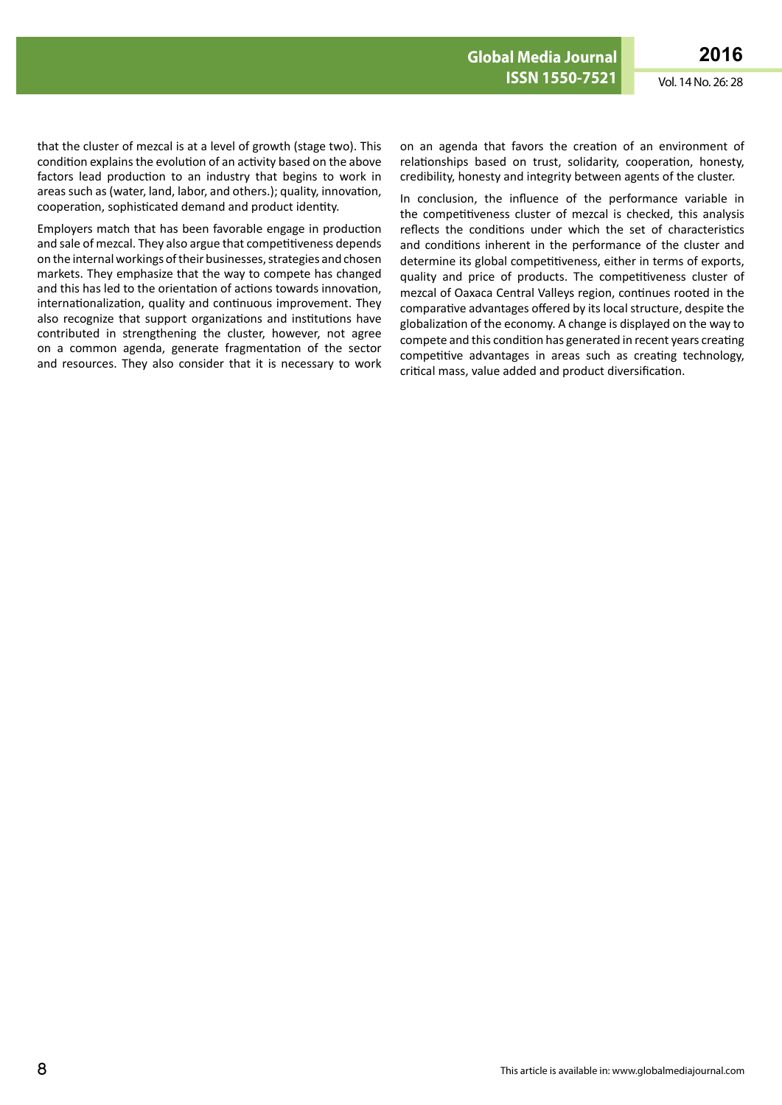that the cluster of mezcal is at a level of growth (stage two). This condition explains the evolution of an activity based on the above factors lead production to an industry that begins to work in areas such as (water, land, labor, and others.); quality, innovation, cooperation, sophisticated demand and product identity.

Employers match that has been favorable engage in production and sale of mezcal. They also argue that competitiveness depends on the internal workings of their businesses, strategies and chosen markets. They emphasize that the way to compete has changed and this has led to the orientation of actions towards innovation, internationalization, quality and continuous improvement. They also recognize that support organizations and institutions have contributed in strengthening the cluster, however, not agree on a common agenda, generate fragmentation of the sector and resources. They also consider that it is necessary to work

on an agenda that favors the creation of an environment of relationships based on trust, solidarity, cooperation, honesty, credibility, honesty and integrity between agents of the cluster.

In conclusion, the influence of the performance variable in the competitiveness cluster of mezcal is checked, this analysis reflects the conditions under which the set of characteristics and conditions inherent in the performance of the cluster and determine its global competitiveness, either in terms of exports, quality and price of products. The competitiveness cluster of mezcal of Oaxaca Central Valleys region, continues rooted in the comparative advantages offered by its local structure, despite the globalization of the economy. A change is displayed on the way to compete and this condition has generated in recent years creating competitive advantages in areas such as creating technology, critical mass, value added and product diversification.